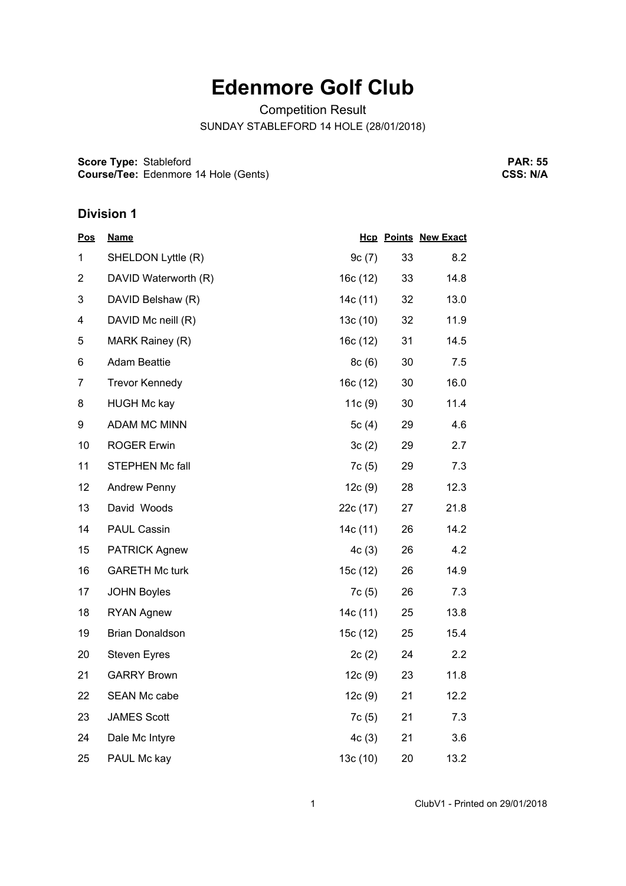## **Edenmore Golf Club**

Competition Result

SUNDAY STABLEFORD 14 HOLE (28/01/2018)

**Score Type: Course/Tee:** Stableford Edenmore 14 Hole (Gents)

**PAR: 55 CSS: N/A**

## **Division 1**

| <b>Pos</b>     | <b>Name</b>            |          |    | <b>Hcp Points New Exact</b> |
|----------------|------------------------|----------|----|-----------------------------|
| 1              | SHELDON Lyttle (R)     | 9c(7)    | 33 | 8.2                         |
| $\overline{2}$ | DAVID Waterworth (R)   | 16c (12) | 33 | 14.8                        |
| 3              | DAVID Belshaw (R)      | 14c (11) | 32 | 13.0                        |
| 4              | DAVID Mc neill (R)     | 13c(10)  | 32 | 11.9                        |
| 5              | MARK Rainey (R)        | 16c (12) | 31 | 14.5                        |
| 6              | <b>Adam Beattie</b>    | 8c(6)    | 30 | 7.5                         |
| $\overline{7}$ | <b>Trevor Kennedy</b>  | 16c(12)  | 30 | 16.0                        |
| 8              | <b>HUGH Mc kay</b>     | 11c(9)   | 30 | 11.4                        |
| 9              | <b>ADAM MC MINN</b>    | 5 $c(4)$ | 29 | 4.6                         |
| 10             | <b>ROGER Erwin</b>     | 3c(2)    | 29 | 2.7                         |
| 11             | STEPHEN Mc fall        | 7c(5)    | 29 | 7.3                         |
| 12             | <b>Andrew Penny</b>    | 12c(9)   | 28 | 12.3                        |
| 13             | David Woods            | 22c (17) | 27 | 21.8                        |
| 14             | <b>PAUL Cassin</b>     | 14c(11)  | 26 | 14.2                        |
| 15             | <b>PATRICK Agnew</b>   | 4c(3)    | 26 | 4.2                         |
| 16             | <b>GARETH Mc turk</b>  | 15c (12) | 26 | 14.9                        |
| 17             | <b>JOHN Boyles</b>     | 7c(5)    | 26 | 7.3                         |
| 18             | <b>RYAN Agnew</b>      | 14c (11) | 25 | 13.8                        |
| 19             | <b>Brian Donaldson</b> | 15c (12) | 25 | 15.4                        |
| 20             | <b>Steven Eyres</b>    | 2c(2)    | 24 | 2.2                         |
| 21             | <b>GARRY Brown</b>     | 12c(9)   | 23 | 11.8                        |
| 22             | SEAN Mc cabe           | 12c(9)   | 21 | 12.2                        |
| 23             | <b>JAMES Scott</b>     | 7c(5)    | 21 | 7.3                         |
| 24             | Dale Mc Intyre         | 4c(3)    | 21 | 3.6                         |
| 25             | PAUL Mc kay            | 13c (10) | 20 | 13.2                        |